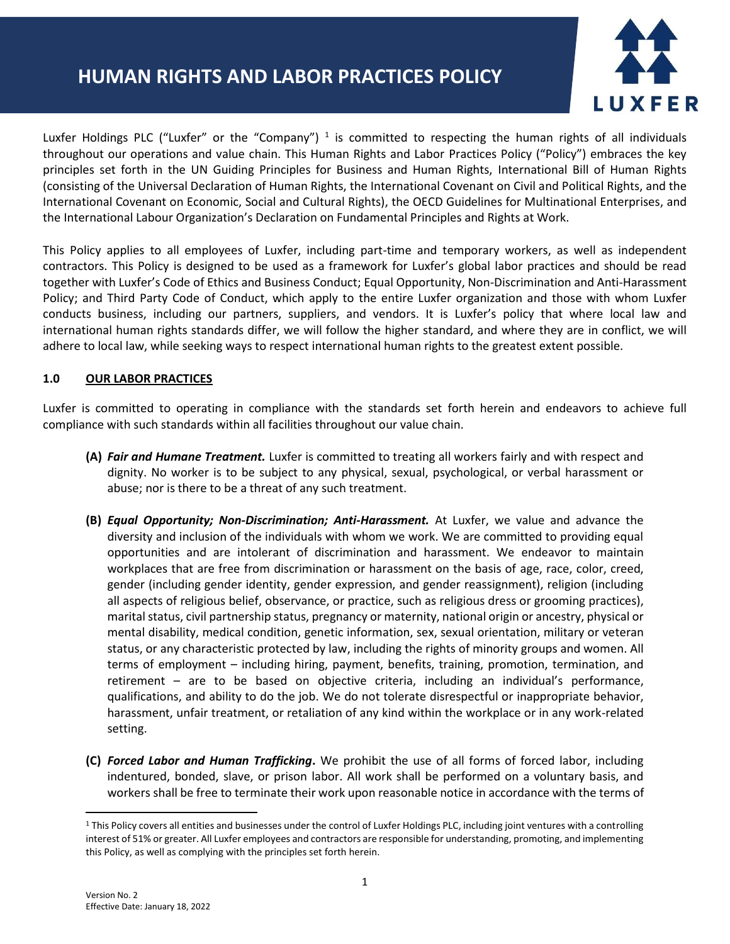# **HUMAN RIGHTS AND LABOR PRACTICES POLICY**



Luxfer Holdings PLC ("Luxfer" or the "Company")<sup>1</sup> is committed to respecting the human rights of all individuals throughout our operations and value chain. This Human Rights and Labor Practices Policy ("Policy") embraces the key principles set forth in the UN Guiding Principles for Business and Human Rights, International Bill of Human Rights (consisting of the Universal Declaration of Human Rights, the International Covenant on Civil and Political Rights, and the International Covenant on Economic, Social and Cultural Rights), the OECD Guidelines for Multinational Enterprises, and the International Labour Organization's Declaration on Fundamental Principles and Rights at Work.

This Policy applies to all employees of Luxfer, including part-time and temporary workers, as well as independent contractors. This Policy is designed to be used as a framework for Luxfer's global labor practices and should be read together with Luxfer's Code of Ethics and Business Conduct; Equal Opportunity, Non-Discrimination and Anti-Harassment Policy; and Third Party Code of Conduct, which apply to the entire Luxfer organization and those with whom Luxfer conducts business, including our partners, suppliers, and vendors. It is Luxfer's policy that where local law and international human rights standards differ, we will follow the higher standard, and where they are in conflict, we will adhere to local law, while seeking ways to respect international human rights to the greatest extent possible.

#### **1.0 OUR LABOR PRACTICES**

Luxfer is committed to operating in compliance with the standards set forth herein and endeavors to achieve full compliance with such standards within all facilities throughout our value chain.

- **(A)** *Fair and Humane Treatment.* Luxfer is committed to treating all workers fairly and with respect and dignity. No worker is to be subject to any physical, sexual, psychological, or verbal harassment or abuse; nor is there to be a threat of any such treatment.
- **(B)** *Equal Opportunity; Non-Discrimination; Anti-Harassment.* At Luxfer, we value and advance the diversity and inclusion of the individuals with whom we work. We are committed to providing equal opportunities and are intolerant of discrimination and harassment. We endeavor to maintain workplaces that are free from discrimination or harassment on the basis of age, race, color, creed, gender (including gender identity, gender expression, and gender reassignment), religion (including all aspects of religious belief, observance, or practice, such as religious dress or grooming practices), marital status, civil partnership status, pregnancy or maternity, national origin or ancestry, physical or mental disability, medical condition, genetic information, sex, sexual orientation, military or veteran status, or any characteristic protected by law, including the rights of minority groups and women. All terms of employment – including hiring, payment, benefits, training, promotion, termination, and retirement – are to be based on objective criteria, including an individual's performance, qualifications, and ability to do the job. We do not tolerate disrespectful or inappropriate behavior, harassment, unfair treatment, or retaliation of any kind within the workplace or in any work-related setting.
- **(C)** *Forced Labor and Human Trafficking***.** We prohibit the use of all forms of forced labor, including indentured, bonded, slave, or prison labor. All work shall be performed on a voluntary basis, and workers shall be free to terminate their work upon reasonable notice in accordance with the terms of

<sup>1</sup> This Policy covers all entities and businesses under the control of Luxfer Holdings PLC, including joint ventures with a controlling interest of 51% or greater. All Luxfer employees and contractors are responsible for understanding, promoting, and implementing this Policy, as well as complying with the principles set forth herein.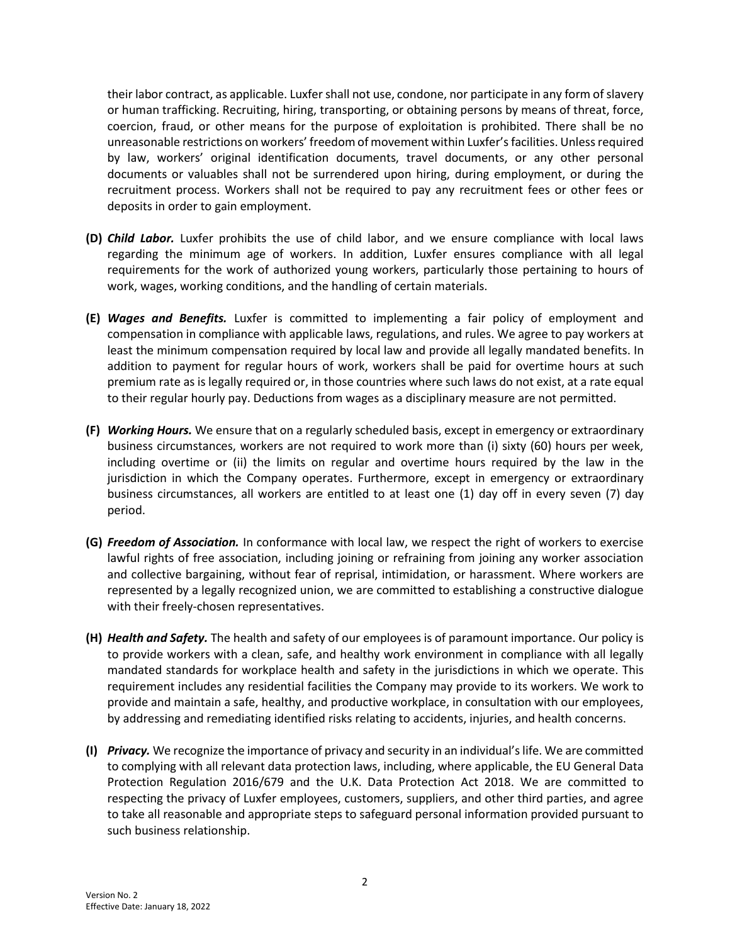their labor contract, as applicable. Luxfer shall not use, condone, nor participate in any form of slavery or human trafficking. Recruiting, hiring, transporting, or obtaining persons by means of threat, force, coercion, fraud, or other means for the purpose of exploitation is prohibited. There shall be no unreasonable restrictions on workers' freedom of movement within Luxfer's facilities. Unless required by law, workers' original identification documents, travel documents, or any other personal documents or valuables shall not be surrendered upon hiring, during employment, or during the recruitment process. Workers shall not be required to pay any recruitment fees or other fees or deposits in order to gain employment.

- **(D)** *Child Labor.* Luxfer prohibits the use of child labor, and we ensure compliance with local laws regarding the minimum age of workers. In addition, Luxfer ensures compliance with all legal requirements for the work of authorized young workers, particularly those pertaining to hours of work, wages, working conditions, and the handling of certain materials.
- **(E)** *Wages and Benefits.* Luxfer is committed to implementing a fair policy of employment and compensation in compliance with applicable laws, regulations, and rules. We agree to pay workers at least the minimum compensation required by local law and provide all legally mandated benefits. In addition to payment for regular hours of work, workers shall be paid for overtime hours at such premium rate as is legally required or, in those countries where such laws do not exist, at a rate equal to their regular hourly pay. Deductions from wages as a disciplinary measure are not permitted.
- **(F)** *Working Hours.* We ensure that on a regularly scheduled basis, except in emergency or extraordinary business circumstances, workers are not required to work more than (i) sixty (60) hours per week, including overtime or (ii) the limits on regular and overtime hours required by the law in the jurisdiction in which the Company operates. Furthermore, except in emergency or extraordinary business circumstances, all workers are entitled to at least one (1) day off in every seven (7) day period.
- **(G)** *Freedom of Association.* In conformance with local law, we respect the right of workers to exercise lawful rights of free association, including joining or refraining from joining any worker association and collective bargaining, without fear of reprisal, intimidation, or harassment. Where workers are represented by a legally recognized union, we are committed to establishing a constructive dialogue with their freely-chosen representatives.
- **(H)** *Health and Safety.* The health and safety of our employees is of paramount importance. Our policy is to provide workers with a clean, safe, and healthy work environment in compliance with all legally mandated standards for workplace health and safety in the jurisdictions in which we operate. This requirement includes any residential facilities the Company may provide to its workers. We work to provide and maintain a safe, healthy, and productive workplace, in consultation with our employees, by addressing and remediating identified risks relating to accidents, injuries, and health concerns.
- **(I)** *Privacy.* We recognize the importance of privacy and security in an individual's life. We are committed to complying with all relevant data protection laws, including, where applicable, the EU General Data Protection Regulation 2016/679 and the U.K. Data Protection Act 2018. We are committed to respecting the privacy of Luxfer employees, customers, suppliers, and other third parties, and agree to take all reasonable and appropriate steps to safeguard personal information provided pursuant to such business relationship.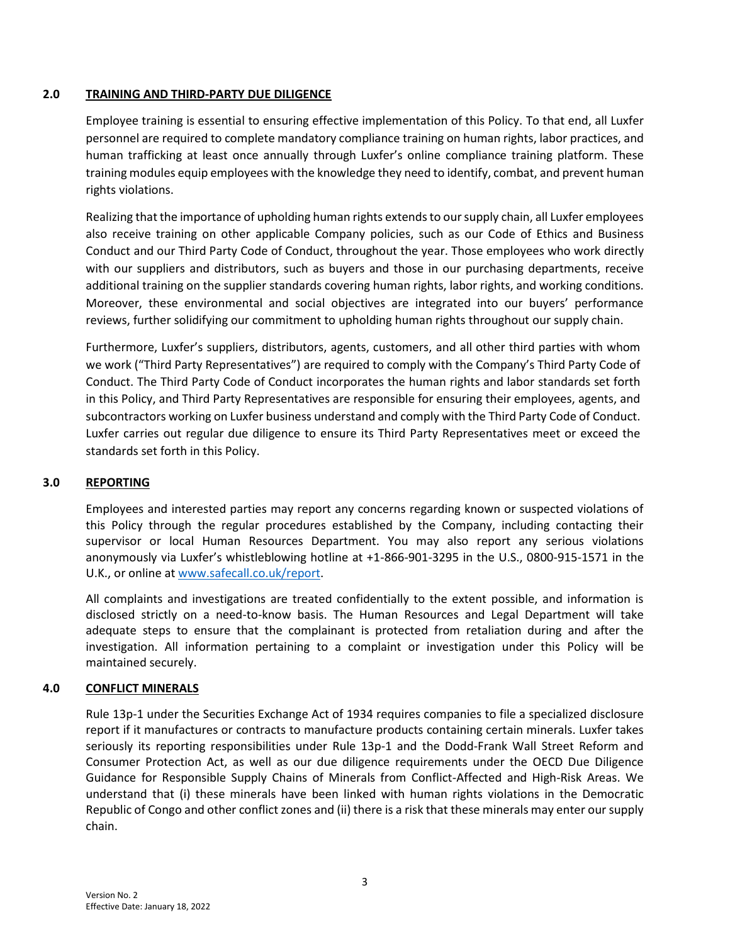### **2.0 TRAINING AND THIRD-PARTY DUE DILIGENCE**

Employee training is essential to ensuring effective implementation of this Policy. To that end, all Luxfer personnel are required to complete mandatory compliance training on human rights, labor practices, and human trafficking at least once annually through Luxfer's online compliance training platform. These training modules equip employees with the knowledge they need to identify, combat, and prevent human rights violations.

Realizing that the importance of upholding human rights extends to our supply chain, all Luxfer employees also receive training on other applicable Company policies, such as our Code of Ethics and Business Conduct and our Third Party Code of Conduct, throughout the year. Those employees who work directly with our suppliers and distributors, such as buyers and those in our purchasing departments, receive additional training on the supplier standards covering human rights, labor rights, and working conditions. Moreover, these environmental and social objectives are integrated into our buyers' performance reviews, further solidifying our commitment to upholding human rights throughout our supply chain.

Furthermore, Luxfer's suppliers, distributors, agents, customers, and all other third parties with whom we work ("Third Party Representatives") are required to comply with the Company's Third Party Code of Conduct. The Third Party Code of Conduct incorporates the human rights and labor standards set forth in this Policy, and Third Party Representatives are responsible for ensuring their employees, agents, and subcontractors working on Luxfer business understand and comply with the Third Party Code of Conduct. Luxfer carries out regular due diligence to ensure its Third Party Representatives meet or exceed the standards set forth in this Policy.

# **3.0 REPORTING**

Employees and interested parties may report any concerns regarding known or suspected violations of this Policy through the regular procedures established by the Company, including contacting their supervisor or local Human Resources Department. You may also report any serious violations anonymously via Luxfer's whistleblowing hotline at +1-866-901-3295 in the U.S., 0800-915-1571 in the U.K., or online a[t www.safecall.co.uk/report.](http://www.safecall.co.uk/report)

All complaints and investigations are treated confidentially to the extent possible, and information is disclosed strictly on a need-to-know basis. The Human Resources and Legal Department will take adequate steps to ensure that the complainant is protected from retaliation during and after the investigation. All information pertaining to a complaint or investigation under this Policy will be maintained securely.

# **4.0 CONFLICT MINERALS**

Rule 13p-1 under the Securities Exchange Act of 1934 requires companies to file a specialized disclosure report if it manufactures or contracts to manufacture products containing certain minerals. Luxfer takes seriously its reporting responsibilities under Rule 13p-1 and the Dodd-Frank Wall Street Reform and Consumer Protection Act, as well as our due diligence requirements under the OECD Due Diligence Guidance for Responsible Supply Chains of Minerals from Conflict-Affected and High-Risk Areas. We understand that (i) these minerals have been linked with human rights violations in the Democratic Republic of Congo and other conflict zones and (ii) there is a risk that these minerals may enter our supply chain.